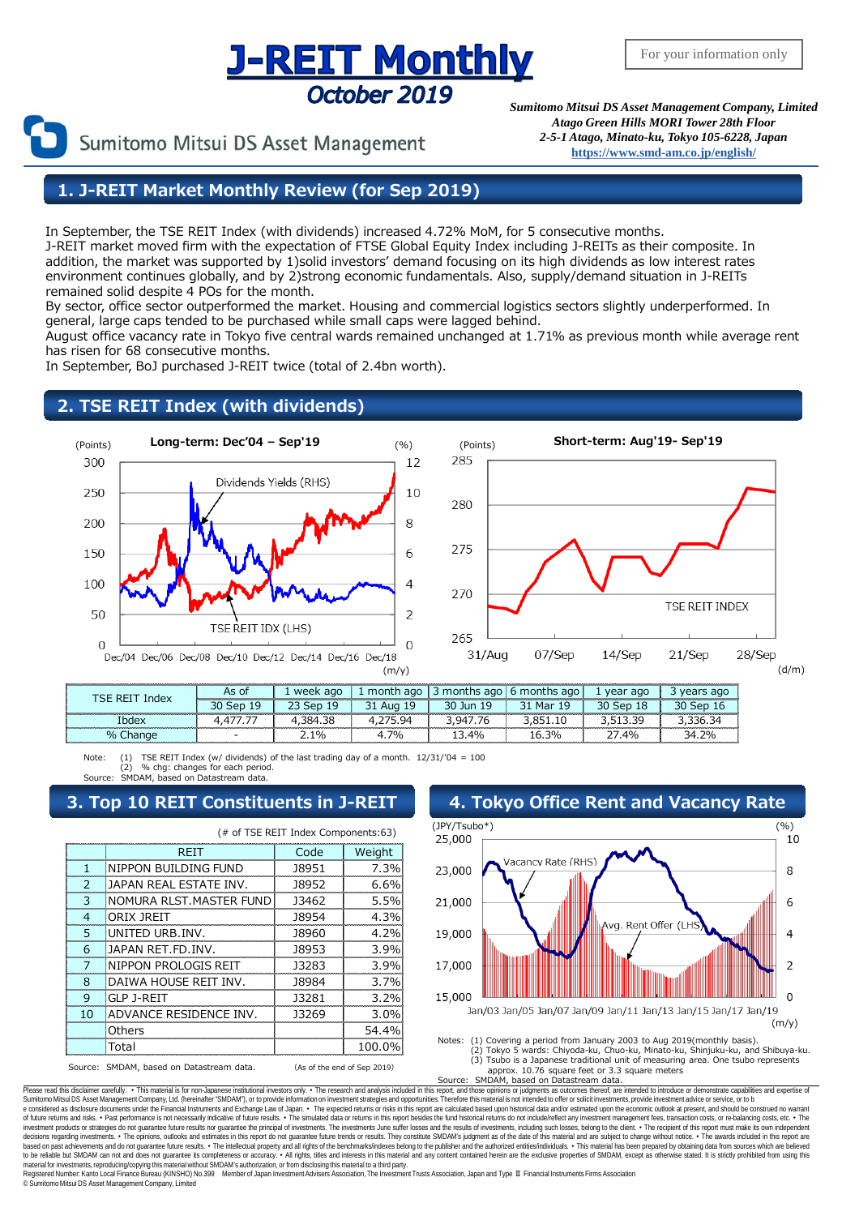## **J-REIT Monthly** October 2019

Sumitomo Mitsui DS Asset Management

*Sumitomo Mitsui DS Asset Management Company, Limited Atago Green Hills MORI Tower 28th Floor 2-5-1 Atago, Minato-ku, Tokyo 105-6228, Japan* **[https://www.smd-am.co.jp/english/](http://www.smam-jp.com/english/)**

### **1. J-REIT Market Monthly Review (for Sep 2019)**

In September, the TSE REIT Index (with dividends) increased 4.72% MoM, for 5 consecutive months. J-REIT market moved firm with the expectation of FTSE Global Equity Index including J-REITs as their composite. In addition, the market was supported by 1)solid investors' demand focusing on its high dividends as low interest rates environment continues globally, and by 2)strong economic fundamentals. Also, supply/demand situation in J-REITs remained solid despite 4 POs for the month.

By sector, office sector outperformed the market. Housing and commercial logistics sectors slightly underperformed. In general, large caps tended to be purchased while small caps were lagged behind.

August office vacancy rate in Tokyo five central wards remained unchanged at 1.71% as previous month while average rent has risen for 68 consecutive months.

In September, BoJ purchased J-REIT twice (total of 2.4bn worth).

### **2. TSE REIT Index (with dividends)**





| or<br>19<br>**************************** |  |
|------------------------------------------|--|
|                                          |  |
| 70,<br>20/<br>40,<br>-                   |  |

Note: (1) TSE REIT Index (w/ dividends) of the last trading day of a month. 12/31/'04 = 100 (2) % chg: changes for each period. MDAM, based on Datastream data

|               | (# of TSE REIT Index Components:63)      |       |                             |  |  |  |  |  |
|---------------|------------------------------------------|-------|-----------------------------|--|--|--|--|--|
|               | REIT                                     | Code  | Weight                      |  |  |  |  |  |
|               | NIPPON BUILDING FUND                     | 18951 | 7.3%                        |  |  |  |  |  |
| $\mathcal{L}$ | JAPAN REAL ESTATE INV.                   | 18952 | 6.6%                        |  |  |  |  |  |
| 3             | NOMURA RLST.MASTER FUND                  | 13462 | 5.5%                        |  |  |  |  |  |
| 4             | ORIX JREIT                               | 18954 | 4.3%                        |  |  |  |  |  |
| 5             | UNITED URB.INV.                          | 18960 | 4.2%                        |  |  |  |  |  |
| 6             | <b>JAPAN RET.FD. INV.</b>                | 18953 | 3.9%                        |  |  |  |  |  |
| 7             | NIPPON PROLOGIS REIT                     | 13283 | 3.9%                        |  |  |  |  |  |
| 8             | DAIWA HOUSE REIT INV.                    | 18984 | 3.7%                        |  |  |  |  |  |
| 9             | GLP J-REIT                               | 13281 | 3.2%                        |  |  |  |  |  |
| 10            | ADVANCE RESIDENCE INV.                   | 13269 | 3.0%                        |  |  |  |  |  |
|               | Others                                   |       | 54.4%                       |  |  |  |  |  |
|               | Total                                    |       | 100.0%                      |  |  |  |  |  |
|               | Source: SMDAM, based on Datastream data. |       | (As of the end of Sep 2019) |  |  |  |  |  |



Approx. 10.76 square feet or 3.3 square meters<br>Source: SMDAM, based on Datastream data. SMDAM, based on Datastream data.

Please read this disclaimer carefully. • This material is for non-Japanese institutional investors only. • The research and analysis included in this report, and those opinions or judgments as outcomes thereof, are intende e considered as disclosure documents under the Financial Instruments and Exchange Law of Japan. • The expected returns or risks in this report are calculated based upon historical data and/or estimated upon the economic ou decisions regarding investments. • The opinions, outlooks and estimates in this report do not guarantee future trends or results. They constitute SMDAM's judgment as of the date of this material and are subject to change w material for investments, reproducing/copying this material without SMDAM's authorization, or from disclosing this material to a third party.<br>Registered Number: Kanto Local Finance Bureau (KINSHO) No.399 Member of Japan In © SumitomoMitsui DS Asset Management Company, Limited